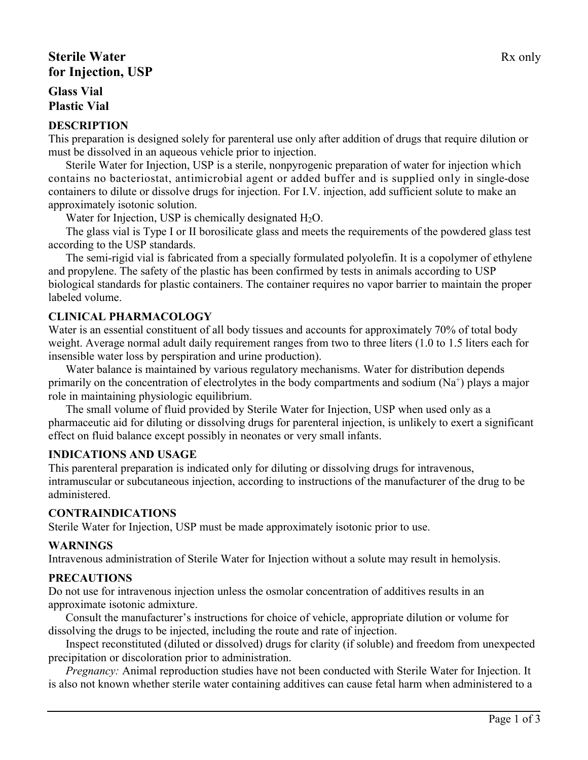# **Sterile Water** Rx only **for Injection, USP**

## **Glass Vial Plastic Vial**

#### **DESCRIPTION**

This preparation is designed solely for parenteral use only after addition of drugs that require dilution or must be dissolved in an aqueous vehicle prior to injection.

Sterile Water for Injection, USP is a sterile, nonpyrogenic preparation of water for injection which contains no bacteriostat, antimicrobial agent or added buffer and is supplied only in single-dose containers to dilute or dissolve drugs for injection. For I.V. injection, add sufficient solute to make an approximately isotonic solution.

Water for Injection, USP is chemically designated  $H_2O$ .

The glass vial is Type I or II borosilicate glass and meets the requirements of the powdered glass test according to the USP standards.

The semi-rigid vial is fabricated from a specially formulated polyolefin. It is a copolymer of ethylene and propylene. The safety of the plastic has been confirmed by tests in animals according to USP biological standards for plastic containers. The container requires no vapor barrier to maintain the proper labeled volume.

## **CLINICAL PHARMACOLOGY**

Water is an essential constituent of all body tissues and accounts for approximately 70% of total body weight. Average normal adult daily requirement ranges from two to three liters (1.0 to 1.5 liters each for insensible water loss by perspiration and urine production).

Water balance is maintained by various regulatory mechanisms. Water for distribution depends primarily on the concentration of electrolytes in the body compartments and sodium  $(Na^+)$  plays a major role in maintaining physiologic equilibrium.

The small volume of fluid provided by Sterile Water for Injection, USP when used only as a pharmaceutic aid for diluting or dissolving drugs for parenteral injection, is unlikely to exert a significant effect on fluid balance except possibly in neonates or very small infants.

## **INDICATIONS AND USAGE**

This parenteral preparation is indicated only for diluting or dissolving drugs for intravenous, intramuscular or subcutaneous injection, according to instructions of the manufacturer of the drug to be administered.

## **CONTRAINDICATIONS**

Sterile Water for Injection, USP must be made approximately isotonic prior to use.

## **WARNINGS**

Intravenous administration of Sterile Water for Injection without a solute may result in hemolysis.

## **PRECAUTIONS**

Do not use for intravenous injection unless the osmolar concentration of additives results in an approximate isotonic admixture.

Consult the manufacturer's instructions for choice of vehicle, appropriate dilution or volume for dissolving the drugs to be injected, including the route and rate of injection.

Inspect reconstituted (diluted or dissolved) drugs for clarity (if soluble) and freedom from unexpected precipitation or discoloration prior to administration.

*Pregnancy:* Animal reproduction studies have not been conducted with Sterile Water for Injection. It is also not known whether sterile water containing additives can cause fetal harm when administered to a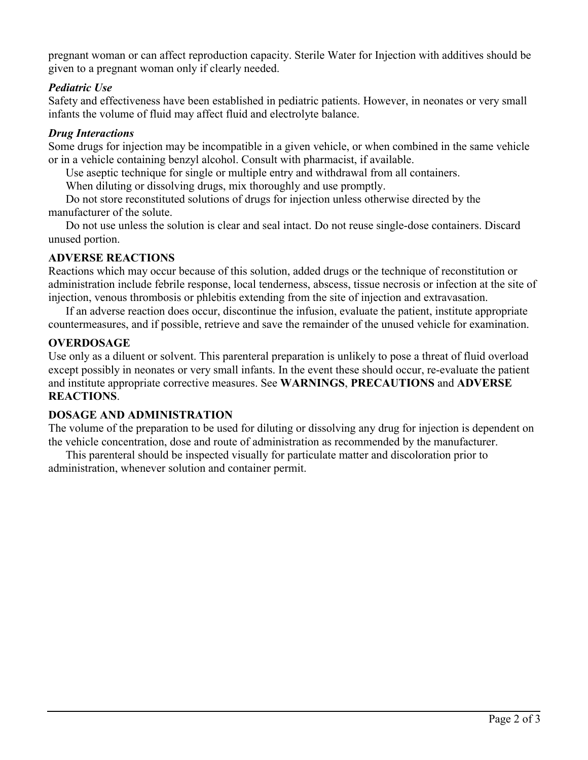pregnant woman or can affect reproduction capacity. Sterile Water for Injection with additives should be given to a pregnant woman only if clearly needed.

#### *Pediatric Use*

Safety and effectiveness have been established in pediatric patients. However, in neonates or very small infants the volume of fluid may affect fluid and electrolyte balance.

#### *Drug Interactions*

Some drugs for injection may be incompatible in a given vehicle, or when combined in the same vehicle or in a vehicle containing benzyl alcohol. Consult with pharmacist, if available.

Use aseptic technique for single or multiple entry and withdrawal from all containers.

When diluting or dissolving drugs, mix thoroughly and use promptly.

Do not store reconstituted solutions of drugs for injection unless otherwise directed by the manufacturer of the solute.

Do not use unless the solution is clear and seal intact. Do not reuse single-dose containers. Discard unused portion.

#### **ADVERSE REACTIONS**

Reactions which may occur because of this solution, added drugs or the technique of reconstitution or administration include febrile response, local tenderness, abscess, tissue necrosis or infection at the site of injection, venous thrombosis or phlebitis extending from the site of injection and extravasation.

If an adverse reaction does occur, discontinue the infusion, evaluate the patient, institute appropriate countermeasures, and if possible, retrieve and save the remainder of the unused vehicle for examination.

## **OVERDOSAGE**

Use only as a diluent or solvent. This parenteral preparation is unlikely to pose a threat of fluid overload except possibly in neonates or very small infants. In the event these should occur, re-evaluate the patient and institute appropriate corrective measures. See **WARNINGS**, **PRECAUTIONS** and **ADVERSE REACTIONS**.

## **DOSAGE AND ADMINISTRATION**

The volume of the preparation to be used for diluting or dissolving any drug for injection is dependent on the vehicle concentration, dose and route of administration as recommended by the manufacturer.

This parenteral should be inspected visually for particulate matter and discoloration prior to administration, whenever solution and container permit.